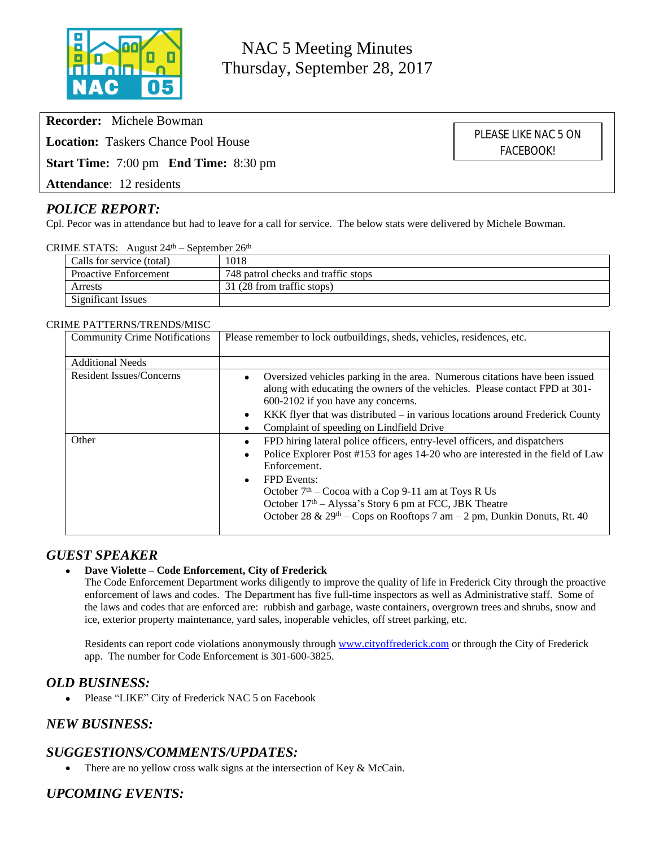

NAC 5 Meeting Minutes Thursday, September 28, 2017

**Recorder:** Michele Bowman

**Location:** Taskers Chance Pool House

**Start Time:** 7:00 pm **End Time:** 8:30 pm

**Attendance**: 12 residents

# *POLICE REPORT:*

Cpl. Pecor was in attendance but had to leave for a call for service. The below stats were delivered by Michele Bowman.

#### CRIME STATS: August  $24<sup>th</sup>$  – September  $26<sup>th</sup>$

| Calls for service (total)    | 1018                                |
|------------------------------|-------------------------------------|
| <b>Proactive Enforcement</b> | 748 patrol checks and traffic stops |
| Arrests                      | 31 (28 from traffic stops)          |
| Significant Issues           |                                     |

#### CRIME PATTERNS/TRENDS/MISC

| <b>Community Crime Notifications</b> | Please remember to lock outbuildings, sheds, vehicles, residences, etc.                                                                                                                                                                                                                                                                                                                                                     |  |  |  |  |
|--------------------------------------|-----------------------------------------------------------------------------------------------------------------------------------------------------------------------------------------------------------------------------------------------------------------------------------------------------------------------------------------------------------------------------------------------------------------------------|--|--|--|--|
| <b>Additional Needs</b>              |                                                                                                                                                                                                                                                                                                                                                                                                                             |  |  |  |  |
| Resident Issues/Concerns             | Oversized vehicles parking in the area. Numerous citations have been issued<br>along with educating the owners of the vehicles. Please contact FPD at 301-<br>600-2102 if you have any concerns.<br>KKK flyer that was distributed $-$ in various locations around Frederick County                                                                                                                                         |  |  |  |  |
|                                      | Complaint of speeding on Lindfield Drive                                                                                                                                                                                                                                                                                                                                                                                    |  |  |  |  |
| Other                                | FPD hiring lateral police officers, entry-level officers, and dispatchers<br>Police Explorer Post #153 for ages 14-20 who are interested in the field of Law<br>Enforcement.<br><b>FPD</b> Events:<br>$\bullet$<br>October $7th$ – Cocoa with a Cop 9-11 am at Toys R Us<br>October 17 <sup>th</sup> – Alyssa's Story 6 pm at FCC, JBK Theatre<br>October 28 & $29th$ – Cops on Rooftops 7 am – 2 pm, Dunkin Donuts, Rt. 40 |  |  |  |  |

#### *GUEST SPEAKER*

#### **Dave Violette – Code Enforcement, City of Frederick**

The Code Enforcement Department works diligently to improve the quality of life in Frederick City through the proactive enforcement of laws and codes. The Department has five full-time inspectors as well as Administrative staff. Some of the laws and codes that are enforced are: rubbish and garbage, waste containers, overgrown trees and shrubs, snow and ice, exterior property maintenance, yard sales, inoperable vehicles, off street parking, etc.

Residents can report code violations anonymously through [www.cityoffrederick.com](http://www.cityoffrederick.com) or through the City of Frederick app. The number for Code Enforcement is 301-600-3825.

#### *OLD BUSINESS:*

Please "LIKE" City of Frederick NAC 5 on Facebook

# *NEW BUSINESS:*

# *SUGGESTIONS/COMMENTS/UPDATES:*

• There are no yellow cross walk signs at the intersection of Key & McCain.

# *UPCOMING EVENTS:*

PLEASE LIKE NAC 5 ON FACEBOOK!